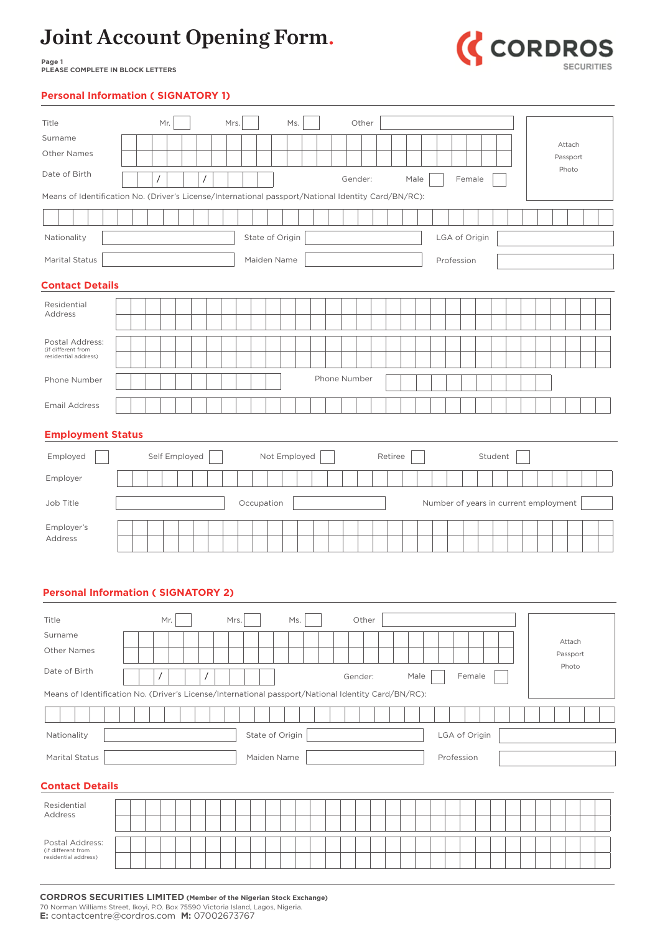

**Page 1 PLEASE COMPLETE IN BLOCK LETTERS**

### **Personal Information ( SIGNATORY 1)**

| Title                                                                                               |  |                | Mr. |               |                | Mrs. |      |                 | Ms. |  |              | Other   |         |      |      |               |        |         |                                       |  |                    |  |
|-----------------------------------------------------------------------------------------------------|--|----------------|-----|---------------|----------------|------|------|-----------------|-----|--|--------------|---------|---------|------|------|---------------|--------|---------|---------------------------------------|--|--------------------|--|
| Surname                                                                                             |  |                |     |               |                |      |      |                 |     |  |              |         |         |      |      |               |        |         |                                       |  | Attach             |  |
| Other Names                                                                                         |  |                |     |               |                |      |      |                 |     |  |              |         |         |      |      |               |        |         |                                       |  | Passport           |  |
| Date of Birth                                                                                       |  | $\overline{1}$ |     |               | $\overline{1}$ |      |      |                 |     |  |              | Gender: |         | Male |      |               | Female |         |                                       |  | Photo              |  |
| Means of Identification No. (Driver's License/International passport/National Identity Card/BN/RC): |  |                |     |               |                |      |      |                 |     |  |              |         |         |      |      |               |        |         |                                       |  |                    |  |
|                                                                                                     |  |                |     |               |                |      |      |                 |     |  |              |         |         |      |      |               |        |         |                                       |  |                    |  |
| Nationality                                                                                         |  |                |     |               |                |      |      | State of Origin |     |  |              |         |         |      |      | LGA of Origin |        |         |                                       |  |                    |  |
| Marital Status                                                                                      |  |                |     |               |                |      |      | Maiden Name     |     |  |              |         |         |      |      | Profession    |        |         |                                       |  |                    |  |
| <b>Contact Details</b>                                                                              |  |                |     |               |                |      |      |                 |     |  |              |         |         |      |      |               |        |         |                                       |  |                    |  |
| Residential                                                                                         |  |                |     |               |                |      |      |                 |     |  |              |         |         |      |      |               |        |         |                                       |  |                    |  |
| Address                                                                                             |  |                |     |               |                |      |      |                 |     |  |              |         |         |      |      |               |        |         |                                       |  |                    |  |
| Postal Address:<br>(if different from                                                               |  |                |     |               |                |      |      |                 |     |  |              |         |         |      |      |               |        |         |                                       |  |                    |  |
| residential address)                                                                                |  |                |     |               |                |      |      |                 |     |  |              |         |         |      |      |               |        |         |                                       |  |                    |  |
| Phone Number                                                                                        |  |                |     |               |                |      |      |                 |     |  | Phone Number |         |         |      |      |               |        |         |                                       |  |                    |  |
| <b>Email Address</b>                                                                                |  |                |     |               |                |      |      |                 |     |  |              |         |         |      |      |               |        |         |                                       |  |                    |  |
| <b>Employment Status</b>                                                                            |  |                |     |               |                |      |      |                 |     |  |              |         |         |      |      |               |        |         |                                       |  |                    |  |
| Employed                                                                                            |  |                |     | Self Employed |                |      |      | Not Employed    |     |  |              |         | Retiree |      |      |               |        | Student |                                       |  |                    |  |
| Employer                                                                                            |  |                |     |               |                |      |      |                 |     |  |              |         |         |      |      |               |        |         |                                       |  |                    |  |
| Job Title                                                                                           |  |                |     |               |                |      |      | Occupation      |     |  |              |         |         |      |      |               |        |         | Number of years in current employment |  |                    |  |
| Employer's                                                                                          |  |                |     |               |                |      |      |                 |     |  |              |         |         |      |      |               |        |         |                                       |  |                    |  |
| Address                                                                                             |  |                |     |               |                |      |      |                 |     |  |              |         |         |      |      |               |        |         |                                       |  |                    |  |
| <b>Personal Information (SIGNATORY 2)</b>                                                           |  |                |     |               |                |      |      |                 |     |  |              |         |         |      |      |               |        |         |                                       |  |                    |  |
| Title<br>Surname                                                                                    |  |                | Mr. |               |                |      | Mrs. |                 | Ms. |  |              | Other   |         |      |      |               |        |         |                                       |  |                    |  |
| Other Names                                                                                         |  |                |     |               |                |      |      |                 |     |  |              |         |         |      |      |               |        |         |                                       |  | Attach<br>Passport |  |
| Date of Birth                                                                                       |  | $\prime$       |     |               | $\prime$       |      |      |                 |     |  |              | Gender: |         |      | Male |               | Female |         |                                       |  | Photo              |  |
| Means of Identification No. (Driver's License/International passport/National Identity Card/BN/RC): |  |                |     |               |                |      |      |                 |     |  |              |         |         |      |      |               |        |         |                                       |  |                    |  |
|                                                                                                     |  |                |     |               |                |      |      |                 |     |  |              |         |         |      |      |               |        |         |                                       |  |                    |  |
| Nationality                                                                                         |  |                |     |               |                |      |      | State of Origin |     |  |              |         |         |      |      | LGA of Origin |        |         |                                       |  |                    |  |
| Marital Status                                                                                      |  |                |     |               |                |      |      | Maiden Name     |     |  |              |         |         |      |      | Profession    |        |         |                                       |  |                    |  |
|                                                                                                     |  |                |     |               |                |      |      |                 |     |  |              |         |         |      |      |               |        |         |                                       |  |                    |  |
| <b>Contact Details</b>                                                                              |  |                |     |               |                |      |      |                 |     |  |              |         |         |      |      |               |        |         |                                       |  |                    |  |
| Residential<br>Address                                                                              |  |                |     |               |                |      |      |                 |     |  |              |         |         |      |      |               |        |         |                                       |  |                    |  |
| Postal Address:                                                                                     |  |                |     |               |                |      |      |                 |     |  |              |         |         |      |      |               |        |         |                                       |  |                    |  |
| (if different from<br>residential address)                                                          |  |                |     |               |                |      |      |                 |     |  |              |         |         |      |      |               |        |         |                                       |  |                    |  |
|                                                                                                     |  |                |     |               |                |      |      |                 |     |  |              |         |         |      |      |               |        |         |                                       |  |                    |  |

**CORDROS SECURITIES LIMITED (Member of the Nigerian Stock Exchange)** 70 Norman Williams Street, Ikoyi, P.O. Box 75590 Victoria Island, Lagos, Nigeria. **E:** contactcentre@cordros.com **M:** 07002673767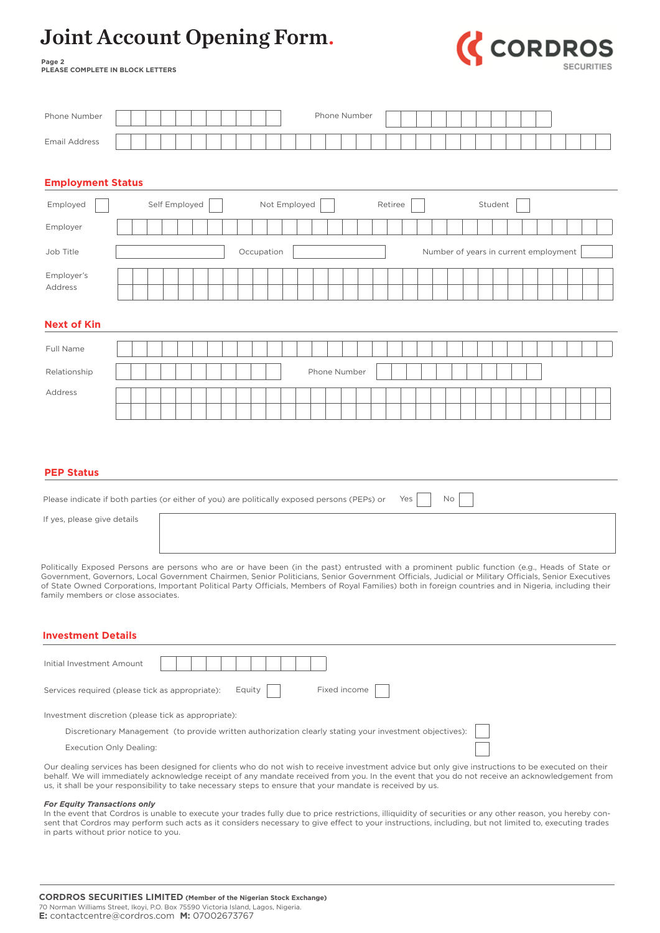

**Page 2 PLEASE COMPLETE IN BLOCK LETTERS**

| Phone Number                                                                                                                                                                                                                                                                                                                                                                                                                                                                                                                         |                                                                                                                                                               |  |  |               |  |  |  |  |        |  |              |  |  |  | Phone Number |  |         |  |  |  |         |  |  |  |  |
|--------------------------------------------------------------------------------------------------------------------------------------------------------------------------------------------------------------------------------------------------------------------------------------------------------------------------------------------------------------------------------------------------------------------------------------------------------------------------------------------------------------------------------------|---------------------------------------------------------------------------------------------------------------------------------------------------------------|--|--|---------------|--|--|--|--|--------|--|--------------|--|--|--|--------------|--|---------|--|--|--|---------|--|--|--|--|
| <b>Email Address</b>                                                                                                                                                                                                                                                                                                                                                                                                                                                                                                                 |                                                                                                                                                               |  |  |               |  |  |  |  |        |  |              |  |  |  |              |  |         |  |  |  |         |  |  |  |  |
|                                                                                                                                                                                                                                                                                                                                                                                                                                                                                                                                      |                                                                                                                                                               |  |  |               |  |  |  |  |        |  |              |  |  |  |              |  |         |  |  |  |         |  |  |  |  |
|                                                                                                                                                                                                                                                                                                                                                                                                                                                                                                                                      | <b>Employment Status</b>                                                                                                                                      |  |  |               |  |  |  |  |        |  |              |  |  |  |              |  |         |  |  |  |         |  |  |  |  |
| Employed                                                                                                                                                                                                                                                                                                                                                                                                                                                                                                                             |                                                                                                                                                               |  |  | Self Employed |  |  |  |  |        |  | Not Employed |  |  |  |              |  | Retiree |  |  |  | Student |  |  |  |  |
| Employer                                                                                                                                                                                                                                                                                                                                                                                                                                                                                                                             |                                                                                                                                                               |  |  |               |  |  |  |  |        |  |              |  |  |  |              |  |         |  |  |  |         |  |  |  |  |
| Job Title                                                                                                                                                                                                                                                                                                                                                                                                                                                                                                                            | Number of years in current employment<br>Occupation                                                                                                           |  |  |               |  |  |  |  |        |  |              |  |  |  |              |  |         |  |  |  |         |  |  |  |  |
| Employer's<br>Address                                                                                                                                                                                                                                                                                                                                                                                                                                                                                                                |                                                                                                                                                               |  |  |               |  |  |  |  |        |  |              |  |  |  |              |  |         |  |  |  |         |  |  |  |  |
| <b>Next of Kin</b>                                                                                                                                                                                                                                                                                                                                                                                                                                                                                                                   |                                                                                                                                                               |  |  |               |  |  |  |  |        |  |              |  |  |  |              |  |         |  |  |  |         |  |  |  |  |
| Full Name                                                                                                                                                                                                                                                                                                                                                                                                                                                                                                                            |                                                                                                                                                               |  |  |               |  |  |  |  |        |  |              |  |  |  |              |  |         |  |  |  |         |  |  |  |  |
| Relationship                                                                                                                                                                                                                                                                                                                                                                                                                                                                                                                         |                                                                                                                                                               |  |  |               |  |  |  |  |        |  |              |  |  |  | Phone Number |  |         |  |  |  |         |  |  |  |  |
| Address                                                                                                                                                                                                                                                                                                                                                                                                                                                                                                                              |                                                                                                                                                               |  |  |               |  |  |  |  |        |  |              |  |  |  |              |  |         |  |  |  |         |  |  |  |  |
|                                                                                                                                                                                                                                                                                                                                                                                                                                                                                                                                      |                                                                                                                                                               |  |  |               |  |  |  |  |        |  |              |  |  |  |              |  |         |  |  |  |         |  |  |  |  |
|                                                                                                                                                                                                                                                                                                                                                                                                                                                                                                                                      | <b>PEP Status</b><br>Yes<br>No<br>Please indicate if both parties (or either of you) are politically exposed persons (PEPs) or<br>If yes, please give details |  |  |               |  |  |  |  |        |  |              |  |  |  |              |  |         |  |  |  |         |  |  |  |  |
| Politically Exposed Persons are persons who are or have been (in the past) entrusted with a prominent public function (e.g., Heads of State or<br>Government, Governors, Local Government Chairmen, Senior Politicians, Senior Government Officials, Judicial or Military Officials, Senior Executives<br>of State Owned Corporations, Important Political Party Officials, Members of Royal Families) both in foreign countries and in Nigeria, including their<br>family members or close associates.<br><b>Investment Details</b> |                                                                                                                                                               |  |  |               |  |  |  |  |        |  |              |  |  |  |              |  |         |  |  |  |         |  |  |  |  |
| Initial Investment Amount                                                                                                                                                                                                                                                                                                                                                                                                                                                                                                            |                                                                                                                                                               |  |  |               |  |  |  |  |        |  |              |  |  |  |              |  |         |  |  |  |         |  |  |  |  |
| Services required (please tick as appropriate):                                                                                                                                                                                                                                                                                                                                                                                                                                                                                      |                                                                                                                                                               |  |  |               |  |  |  |  | Equity |  |              |  |  |  | Fixed income |  |         |  |  |  |         |  |  |  |  |
| Investment discretion (please tick as appropriate):                                                                                                                                                                                                                                                                                                                                                                                                                                                                                  |                                                                                                                                                               |  |  |               |  |  |  |  |        |  |              |  |  |  |              |  |         |  |  |  |         |  |  |  |  |
| Discretionary Management (to provide written authorization clearly stating your investment objectives):                                                                                                                                                                                                                                                                                                                                                                                                                              |                                                                                                                                                               |  |  |               |  |  |  |  |        |  |              |  |  |  |              |  |         |  |  |  |         |  |  |  |  |
| Execution Only Dealing:                                                                                                                                                                                                                                                                                                                                                                                                                                                                                                              |                                                                                                                                                               |  |  |               |  |  |  |  |        |  |              |  |  |  |              |  |         |  |  |  |         |  |  |  |  |
| Our dealing services has been designed for clients who do not wish to receive investment advice but only give instructions to be executed on their<br>behalf. We will immediately acknowledge receipt of any mandate received from you. In the event that you do not receive an acknowledgement from<br>us, it shall be your responsibility to take necessary steps to ensure that your mandate is received by us.                                                                                                                   |                                                                                                                                                               |  |  |               |  |  |  |  |        |  |              |  |  |  |              |  |         |  |  |  |         |  |  |  |  |
| <b>For Equity Transactions only</b><br>In the event that Cordros is unable to execute your trades fully due to price restrictions, illiquidity of securities or any other reason, you hereby con-<br>sent that Cordros may perform such acts as it considers necessary to give effect to your instructions, including, but not limited to, executing trades<br>in parts without prior notice to you.                                                                                                                                 |                                                                                                                                                               |  |  |               |  |  |  |  |        |  |              |  |  |  |              |  |         |  |  |  |         |  |  |  |  |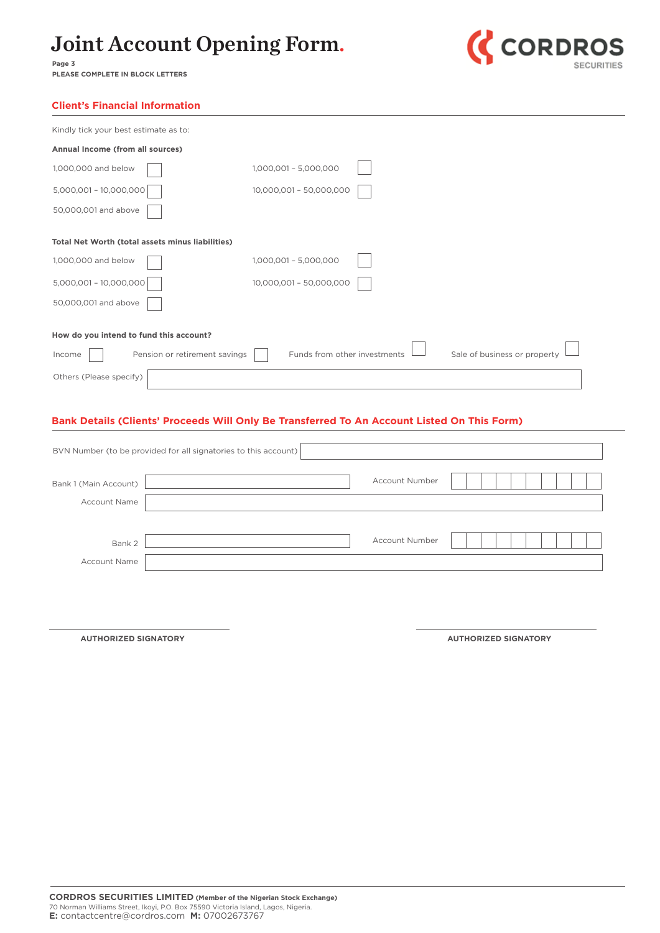

**Page 3 PLEASE COMPLETE IN BLOCK LETTERS**

| Kindly tick your best estimate as to:            |                                                              |
|--------------------------------------------------|--------------------------------------------------------------|
| Annual Income (from all sources)                 |                                                              |
| 1,000,000 and below                              | 1,000,001 - 5,000,000                                        |
| 5,000,001 - 10,000,000                           | 10,000,001 - 50,000,000                                      |
| 50,000,001 and above                             |                                                              |
| Total Net Worth (total assets minus liabilities) |                                                              |
| 1,000,000 and below                              | 1,000,001 - 5,000,000                                        |
| 5,000,001 - 10,000,000                           | 10,000,001 - 50,000,000                                      |
| 50,000,001 and above                             |                                                              |
| How do you intend to fund this account?          |                                                              |
| Pension or retirement savings<br>Income          | Funds from other investments<br>Sale of business or property |
| Others (Please specify)                          |                                                              |

### **Bank Details (Clients' Proceeds Will Only Be Transferred To An Account Listed On This Form)**

|                       | BVN Number (to be provided for all signatories to this account) |                       |  |  |  |
|-----------------------|-----------------------------------------------------------------|-----------------------|--|--|--|
| Bank 1 (Main Account) |                                                                 | <b>Account Number</b> |  |  |  |
| <b>Account Name</b>   |                                                                 |                       |  |  |  |
|                       |                                                                 |                       |  |  |  |
| Bank 2                |                                                                 | <b>Account Number</b> |  |  |  |
| <b>Account Name</b>   |                                                                 |                       |  |  |  |
|                       |                                                                 |                       |  |  |  |

**AUTHORIZED SIGNATORY AUTHORIZED SIGNATORY**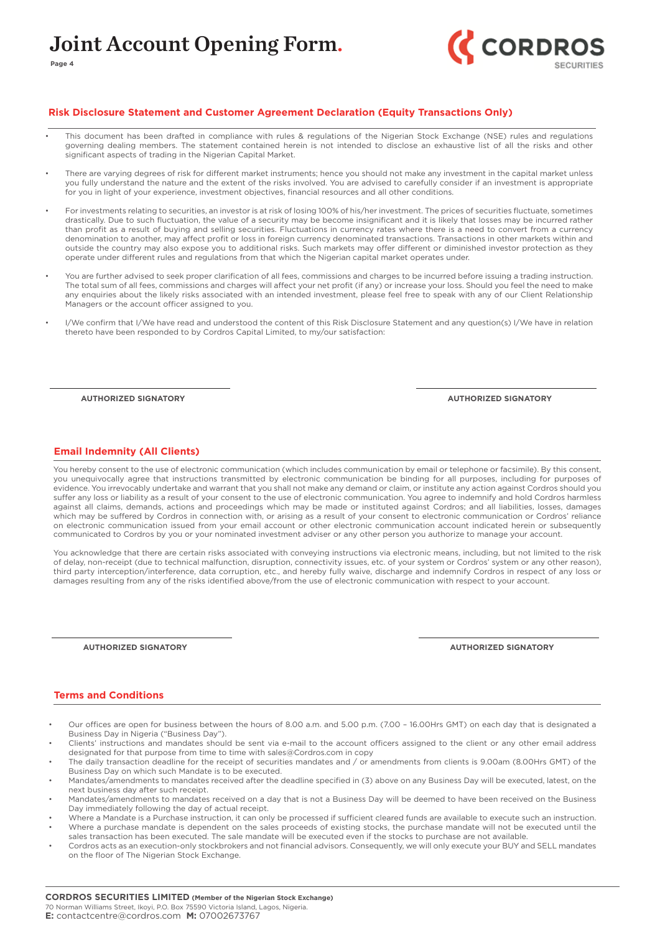

#### **Risk Disclosure Statement and Customer Agreement Declaration (Equity Transactions Only)**

- This document has been drafted in compliance with rules & regulations of the Nigerian Stock Exchange (NSE) rules and regulations governing dealing members. The statement contained herein is not intended to disclose an exhaustive list of all the risks and other significant aspects of trading in the Nigerian Capital Market.
- There are varying degrees of risk for different market instruments; hence you should not make any investment in the capital market unless you fully understand the nature and the extent of the risks involved. You are advised to carefully consider if an investment is appropriate for you in light of your experience, investment objectives, financial resources and all other conditions.
- For investments relating to securities, an investor is at risk of losing 100% of his/her investment. The prices of securities fluctuate, sometimes drastically. Due to such fluctuation, the value of a security may be become insignificant and it is likely that losses may be incurred rather than profit as a result of buying and selling securities. Fluctuations in currency rates where there is a need to convert from a currency denomination to another, may affect profit or loss in foreign currency denominated transactions. Transactions in other markets within and outside the country may also expose you to additional risks. Such markets may offer different or diminished investor protection as they operate under different rules and regulations from that which the Nigerian capital market operates under.
- You are further advised to seek proper clarification of all fees, commissions and charges to be incurred before issuing a trading instruction. The total sum of all fees, commissions and charges will affect your net profit (if any) or increase your loss. Should you feel the need to make any enquiries about the likely risks associated with an intended investment, please feel free to speak with any of our Client Relationship Managers or the account officer assigned to you.
- I/We confirm that I/We have read and understood the content of this Risk Disclosure Statement and any question(s) I/We have in relation thereto have been responded to by Cordros Capital Limited, to my/our satisfaction:

**AUTHORIZED SIGNATORY**

**Page 4**

**AUTHORIZED SIGNATORY**

#### **Email Indemnity (All Clients)**

You hereby consent to the use of electronic communication (which includes communication by email or telephone or facsimile). By this consent, you unequivocally agree that instructions transmitted by electronic communication be binding for all purposes, including for purposes of evidence. You irrevocably undertake and warrant that you shall not make any demand or claim, or institute any action against Cordros should you suffer any loss or liability as a result of your consent to the use of electronic communication. You agree to indemnify and hold Cordros harmless against all claims, demands, actions and proceedings which may be made or instituted against Cordros; and all liabilities, losses, damages which may be suffered by Cordros in connection with, or arising as a result of your consent to electronic communication or Cordros' reliance on electronic communication issued from your email account or other electronic communication account indicated herein or subsequently communicated to Cordros by you or your nominated investment adviser or any other person you authorize to manage your account.

You acknowledge that there are certain risks associated with conveying instructions via electronic means, including, but not limited to the risk of delay, non-receipt (due to technical malfunction, disruption, connectivity issues, etc. of your system or Cordros' system or any other reason), third party interception/interference, data corruption, etc., and hereby fully waive, discharge and indemnify Cordros in respect of any loss or damages resulting from any of the risks identified above/from the use of electronic communication with respect to your account.

**AUTHORIZED SIGNATORY**

**AUTHORIZED SIGNATORY**

#### **Terms and Conditions**

- Our offices are open for business between the hours of 8.00 a.m. and 5.00 p.m. (7.00 16.00Hrs GMT) on each day that is designated a Business Day in Nigeria ("Business Day").
- Clients' instructions and mandates should be sent via e-mail to the account officers assigned to the client or any other email address designated for that purpose from time to time with sales@Cordros.com in copy
- The daily transaction deadline for the receipt of securities mandates and / or amendments from clients is 9.00am (8.00Hrs GMT) of the Business Day on which such Mandate is to be executed.
- Mandates/amendments to mandates received after the deadline specified in (3) above on any Business Day will be executed, latest, on the next business day after such receipt.
- Mandates/amendments to mandates received on a day that is not a Business Day will be deemed to have been received on the Business Day immediately following the day of actual receipt.
- Where a Mandate is a Purchase instruction, it can only be processed if sufficient cleared funds are available to execute such an instruction. • Where a purchase mandate is dependent on the sales proceeds of existing stocks, the purchase mandate will not be executed until the
- sales transaction has been executed. The sale mandate will be executed even if the stocks to purchase are not available.
- Cordros acts as an execution-only stockbrokers and not financial advisors. Consequently, we will only execute your BUY and SELL mandates on the floor of The Nigerian Stock Exchange.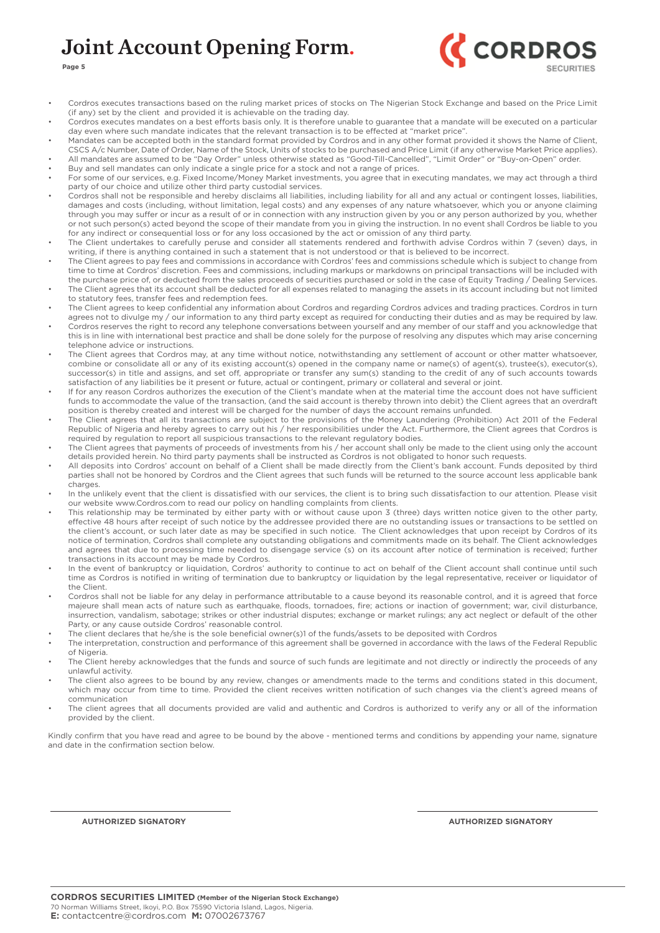

**Page 5**

- Cordros executes transactions based on the ruling market prices of stocks on The Nigerian Stock Exchange and based on the Price Limit (if any) set by the client and provided it is achievable on the trading day.
- Cordros executes mandates on a best efforts basis only. It is therefore unable to guarantee that a mandate will be executed on a particular day even where such mandate indicates that the relevant transaction is to be effected at "market price".
- Mandates can be accepted both in the standard format provided by Cordros and in any other format provided it shows the Name of Client, CSCS A/c Number, Date of Order, Name of the Stock, Units of stocks to be purchased and Price Limit (if any otherwise Market Price applies). • All mandates are assumed to be "Day Order" unless otherwise stated as "Good-Till-Cancelled", "Limit Order" or "Buy-on-Open" order.
- Buy and sell mandates can only indicate a single price for a stock and not a range of prices.
- For some of our services, e.g. Fixed Income/Money Market investments, you agree that in executing mandates, we may act through a third party of our choice and utilize other third party custodial services.
- Cordros shall not be responsible and hereby disclaims all liabilities, including liability for all and any actual or contingent losses, liabilities, damages and costs (including, without limitation, legal costs) and any expenses of any nature whatsoever, which you or anyone claiming through you may suffer or incur as a result of or in connection with any instruction given by you or any person authorized by you, whether or not such person(s) acted beyond the scope of their mandate from you in giving the instruction. In no event shall Cordros be liable to you for any indirect or consequential loss or for any loss occasioned by the act or omission of any third party.
- The Client undertakes to carefully peruse and consider all statements rendered and forthwith advise Cordros within 7 (seven) days, in writing, if there is anything contained in such a statement that is not understood or that is believed to be incorrect.
- The Client agrees to pay fees and commissions in accordance with Cordros' fees and commissions schedule which is subject to change from time to time at Cordros' discretion. Fees and commissions, including markups or markdowns on principal transactions will be included with the purchase price of, or deducted from the sales proceeds of securities purchased or sold in the case of Equity Trading / Dealing Services. The Client agrees that its account shall be deducted for all expenses related to managing the assets in its account including but not limited
- to statutory fees, transfer fees and redemption fees. The Client agrees to keep confidential any information about Cordros and regarding Cordros advices and trading practices. Cordros in turn
- agrees not to divulge my / our information to any third party except as required for conducting their duties and as may be required by law. • Cordros reserves the right to record any telephone conversations between yourself and any member of our staff and you acknowledge that this is in line with international best practice and shall be done solely for the purpose of resolving any disputes which may arise concerning telephone advice or instructions.
- The Client agrees that Cordros may, at any time without notice, notwithstanding any settlement of account or other matter whatsoever, combine or consolidate all or any of its existing account(s) opened in the company name or name(s) of agent(s), trustee(s), executor(s), successor(s) in title and assigns, and set off, appropriate or transfer any sum(s) standing to the credit of any of such accounts towards satisfaction of any liabilities be it present or future, actual or contingent, primary or collateral and several or joint.
- If for any reason Cordros authorizes the execution of the Client's mandate when at the material time the account does not have sufficient funds to accommodate the value of the transaction, (and the said account is thereby thrown into debit) the Client agrees that an overdraft position is thereby created and interest will be charged for the number of days the account remains unfunded.
- The Client agrees that all its transactions are subject to the provisions of the Money Laundering (Prohibition) Act 2011 of the Federal Republic of Nigeria and hereby agrees to carry out his / her responsibilities under the Act. Furthermore, the Client agrees that Cordros is required by regulation to report all suspicious transactions to the relevant regulatory bodies.
- The Client agrees that payments of proceeds of investments from his / her account shall only be made to the client using only the account details provided herein. No third party payments shall be instructed as Cordros is not obligated to honor such requests.
- All deposits into Cordros' account on behalf of a Client shall be made directly from the Client's bank account. Funds deposited by third parties shall not be honored by Cordros and the Client agrees that such funds will be returned to the source account less applicable bank charges.
- In the unlikely event that the client is dissatisfied with our services, the client is to bring such dissatisfaction to our attention. Please visit our website www.Cordros.com to read our policy on handling complaints from clients.
- This relationship may be terminated by either party with or without cause upon 3 (three) days written notice given to the other party, effective 48 hours after receipt of such notice by the addressee provided there are no outstanding issues or transactions to be settled on the client's account, or such later date as may be specified in such notice. The Client acknowledges that upon receipt by Cordros of its notice of termination, Cordros shall complete any outstanding obligations and commitments made on its behalf. The Client acknowledges and agrees that due to processing time needed to disengage service (s) on its account after notice of termination is received; further transactions in its account may be made by Cordros.
- In the event of bankruptcy or liquidation, Cordros' authority to continue to act on behalf of the Client account shall continue until such time as Cordros is notified in writing of termination due to bankruptcy or liquidation by the legal representative, receiver or liquidator of the Client.
- Cordros shall not be liable for any delay in performance attributable to a cause beyond its reasonable control, and it is agreed that force majeure shall mean acts of nature such as earthquake, floods, tornadoes, fire; actions or inaction of government; war, civil disturbance, insurrection, vandalism, sabotage; strikes or other industrial disputes; exchange or market rulings; any act neglect or default of the other Party, or any cause outside Cordros' reasonable control.
- The client declares that he/she is the sole beneficial owner(s)1 of the funds/assets to be deposited with Cordros
- The interpretation, construction and performance of this agreement shall be governed in accordance with the laws of the Federal Republic of Nigeria.
- The Client hereby acknowledges that the funds and source of such funds are legitimate and not directly or indirectly the proceeds of any unlawful activity.
- The client also agrees to be bound by any review, changes or amendments made to the terms and conditions stated in this document, which may occur from time to time. Provided the client receives written notification of such changes via the client's agreed means of communication
- The client agrees that all documents provided are valid and authentic and Cordros is authorized to verify any or all of the information provided by the client.

Kindly confirm that you have read and agree to be bound by the above - mentioned terms and conditions by appending your name, signature and date in the confirmation section below.

**AUTHORIZED SIGNATORY AUTHORIZED SIGNATORY**